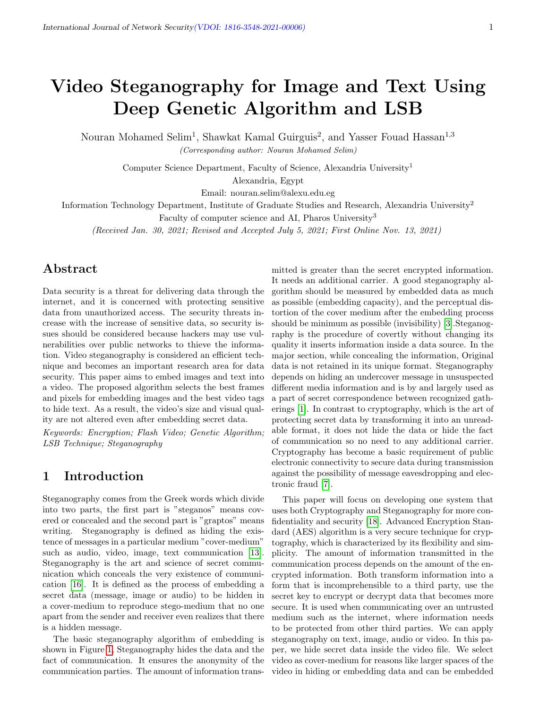# Video Steganography for Image and Text Using Deep Genetic Algorithm and LSB

Nouran Mohamed Selim<sup>1</sup>, Shawkat Kamal Guirguis<sup>2</sup>, and Yasser Fouad Hassan<sup>1,3</sup>

(Corresponding author: Nouran Mohamed Selim)

Computer Science Department, Faculty of Science, Alexandria University<sup>1</sup>

Alexandria, Egypt

Email: nouran.selim@alexu.edu.eg

Information Technology Department, Institute of Graduate Studies and Research, Alexandria University<sup>2</sup>

Faculty of computer science and AI, Pharos University<sup>3</sup>

(Received Jan. 30, 2021; Revised and Accepted July 5, 2021; First Online Nov. 13, 2021)

# Abstract

Data security is a threat for delivering data through the internet, and it is concerned with protecting sensitive data from unauthorized access. The security threats increase with the increase of sensitive data, so security issues should be considered because hackers may use vulnerabilities over public networks to thieve the information. Video steganography is considered an efficient technique and becomes an important research area for data security. This paper aims to embed images and text into a video. The proposed algorithm selects the best frames and pixels for embedding images and the best video tags to hide text. As a result, the video's size and visual quality are not altered even after embedding secret data.

Keywords: Encryption; Flash Video; Genetic Algorithm; LSB Technique; Steganography

# 1 Introduction

Steganography comes from the Greek words which divide into two parts, the first part is "steganos" means covered or concealed and the second part is "graptos" means writing. Steganography is defined as hiding the existence of messages in a particular medium "cover-medium" such as audio, video, image, text communication [\[13\]](#page-5-0). Steganography is the art and science of secret communication which conceals the very existence of communication [\[16\]](#page-6-0). It is defined as the process of embedding a secret data (message, image or audio) to be hidden in a cover-medium to reproduce stego-medium that no one apart from the sender and receiver even realizes that there is a hidden message.

The basic steganography algorithm of embedding is shown in Figure [1,](#page-1-0) Steganography hides the data and the fact of communication. It ensures the anonymity of the communication parties. The amount of information trans-

mitted is greater than the secret encrypted information. It needs an additional carrier. A good steganography algorithm should be measured by embedded data as much as possible (embedding capacity), and the perceptual distortion of the cover medium after the embedding process should be minimum as possible (invisibility) [\[3\]](#page-5-1).Steganography is the procedure of covertly without changing its quality it inserts information inside a data source. In the major section, while concealing the information, Original data is not retained in its unique format. Steganography depends on hiding an undercover message in unsuspected different media information and is by and largely used as a part of secret correspondence between recognized gatherings [\[1\]](#page-5-2). In contrast to cryptography, which is the art of protecting secret data by transforming it into an unreadable format, it does not hide the data or hide the fact of communication so no need to any additional carrier. Cryptography has become a basic requirement of public electronic connectivity to secure data during transmission against the possibility of message eavesdropping and electronic fraud [\[7\]](#page-5-3).

This paper will focus on developing one system that uses both Cryptography and Steganography for more confidentiality and security [\[18\]](#page-6-1). Advanced Encryption Standard (AES) algorithm is a very secure technique for cryptography, which is characterized by its flexibility and simplicity. The amount of information transmitted in the communication process depends on the amount of the encrypted information. Both transform information into a form that is incomprehensible to a third party, use the secret key to encrypt or decrypt data that becomes more secure. It is used when communicating over an untrusted medium such as the internet, where information needs to be protected from other third parties. We can apply steganography on text, image, audio or video. In this paper, we hide secret data inside the video file. We select video as cover-medium for reasons like larger spaces of the video in hiding or embedding data and can be embedded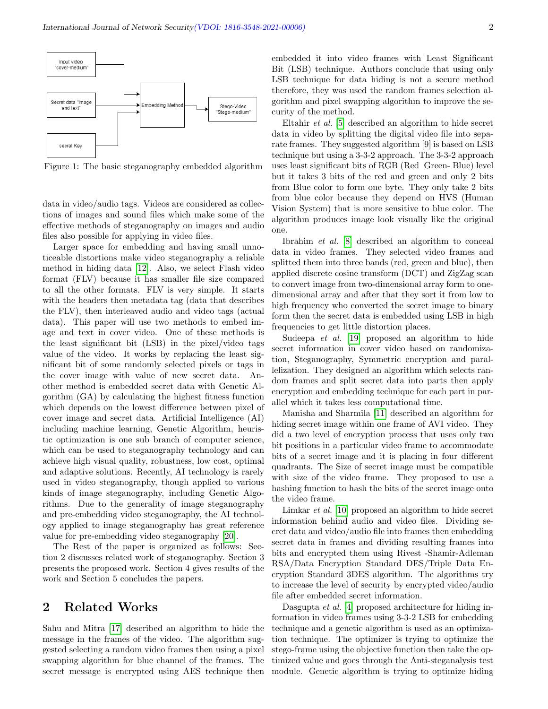

<span id="page-1-0"></span>Figure 1: The basic steganography embedded algorithm

data in video/audio tags. Videos are considered as collections of images and sound files which make some of the effective methods of steganography on images and audio files also possible for applying in video files.

Larger space for embedding and having small unnoticeable distortions make video steganography a reliable method in hiding data [\[12\]](#page-5-4). Also, we select Flash video format (FLV) because it has smaller file size compared to all the other formats. FLV is very simple. It starts with the headers then metadata tag (data that describes the FLV), then interleaved audio and video tags (actual data). This paper will use two methods to embed image and text in cover video. One of these methods is the least significant bit (LSB) in the pixel/video tags value of the video. It works by replacing the least significant bit of some randomly selected pixels or tags in the cover image with value of new secret data. Another method is embedded secret data with Genetic Algorithm (GA) by calculating the highest fitness function which depends on the lowest difference between pixel of cover image and secret data. Artificial Intelligence (AI) including machine learning, Genetic Algorithm, heuristic optimization is one sub branch of computer science, which can be used to steganography technology and can achieve high visual quality, robustness, low cost, optimal and adaptive solutions. Recently, AI technology is rarely used in video steganography, though applied to various kinds of image steganography, including Genetic Algorithms. Due to the generality of image steganography and pre-embedding video steganography, the AI technology applied to image steganography has great reference value for pre-embedding video steganography [\[20\]](#page-6-2).

The Rest of the paper is organized as follows: Section 2 discusses related work of steganography. Section 3 presents the proposed work. Section 4 gives results of the work and Section 5 concludes the papers.

### 2 Related Works

Sahu and Mitra [\[17\]](#page-6-3) described an algorithm to hide the message in the frames of the video. The algorithm suggested selecting a random video frames then using a pixel swapping algorithm for blue channel of the frames. The secret message is encrypted using AES technique then embedded it into video frames with Least Significant Bit (LSB) technique. Authors conclude that using only LSB technique for data hiding is not a secure method therefore, they was used the random frames selection algorithm and pixel swapping algorithm to improve the security of the method.

Eltahir et al. [\[5\]](#page-5-5) described an algorithm to hide secret data in video by splitting the digital video file into separate frames. They suggested algorithm [9] is based on LSB technique but using a 3-3-2 approach. The 3-3-2 approach uses least significant bits of RGB (Red Green- Blue) level but it takes 3 bits of the red and green and only 2 bits from Blue color to form one byte. They only take 2 bits from blue color because they depend on HVS (Human Vision System) that is more sensitive to blue color. The algorithm produces image look visually like the original one.

Ibrahim et al. [\[8\]](#page-5-6) described an algorithm to conceal data in video frames. They selected video frames and splitted them into three bands (red, green and blue), then applied discrete cosine transform (DCT) and ZigZag scan to convert image from two-dimensional array form to onedimensional array and after that they sort it from low to high frequency who converted the secret image to binary form then the secret data is embedded using LSB in high frequencies to get little distortion places.

Sudeepa *et al.* [\[19\]](#page-6-4) proposed an algorithm to hide secret information in cover video based on randomization, Steganography, Symmetric encryption and parallelization. They designed an algorithm which selects random frames and split secret data into parts then apply encryption and embedding technique for each part in parallel which it takes less computational time.

Manisha and Sharmila [\[11\]](#page-5-7) described an algorithm for hiding secret image within one frame of AVI video. They did a two level of encryption process that uses only two bit positions in a particular video frame to accommodate bits of a secret image and it is placing in four different quadrants. The Size of secret image must be compatible with size of the video frame. They proposed to use a hashing function to hash the bits of the secret image onto the video frame.

Limkar *et al.* [\[10\]](#page-5-8) proposed an algorithm to hide secret information behind audio and video files. Dividing secret data and video/audio file into frames then embedding secret data in frames and dividing resulting frames into bits and encrypted them using Rivest -Shamir-Adleman RSA/Data Encryption Standard DES/Triple Data Encryption Standard 3DES algorithm. The algorithms try to increase the level of security by encrypted video/audio file after embedded secret information.

Dasgupta *et al.* [\[4\]](#page-5-9) proposed architecture for hiding information in video frames using 3-3-2 LSB for embedding technique and a genetic algorithm is used as an optimization technique. The optimizer is trying to optimize the stego-frame using the objective function then take the optimized value and goes through the Anti-steganalysis test module. Genetic algorithm is trying to optimize hiding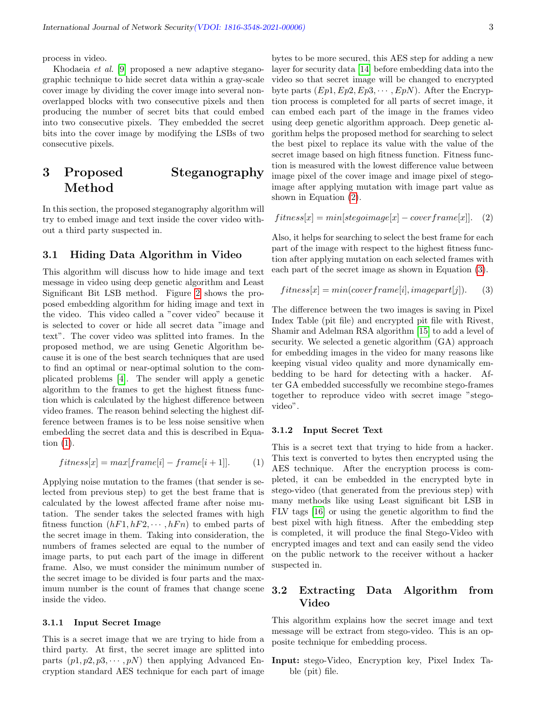process in video.

Khodaeia et al. [\[9\]](#page-5-10) proposed a new adaptive steganographic technique to hide secret data within a gray-scale cover image by dividing the cover image into several nonoverlapped blocks with two consecutive pixels and then producing the number of secret bits that could embed into two consecutive pixels. They embedded the secret bits into the cover image by modifying the LSBs of two consecutive pixels.

# 3 Proposed Steganography Method

In this section, the proposed steganography algorithm will try to embed image and text inside the cover video without a third party suspected in.

#### 3.1 Hiding Data Algorithm in Video

This algorithm will discuss how to hide image and text message in video using deep genetic algorithm and Least Significant Bit LSB method. Figure [2](#page-3-0) shows the proposed embedding algorithm for hiding image and text in the video. This video called a "cover video" because it is selected to cover or hide all secret data "image and text". The cover video was splitted into frames. In the proposed method, we are using Genetic Algorithm because it is one of the best search techniques that are used to find an optimal or near-optimal solution to the complicated problems [\[4\]](#page-5-9). The sender will apply a genetic algorithm to the frames to get the highest fitness function which is calculated by the highest difference between video frames. The reason behind selecting the highest difference between frames is to be less noise sensitive when embedding the secret data and this is described in Equation [\(1\)](#page-2-0).

<span id="page-2-0"></span>
$$
fitness[x] = max[frame[i] - frame[i+1]].
$$
 (1)

Applying noise mutation to the frames (that sender is selected from previous step) to get the best frame that is calculated by the lowest affected frame after noise mutation. The sender takes the selected frames with high fitness function  $(hF1, hF2, \dots, hFn)$  to embed parts of the secret image in them. Taking into consideration, the numbers of frames selected are equal to the number of image parts, to put each part of the image in different frame. Also, we must consider the minimum number of the secret image to be divided is four parts and the maximum number is the count of frames that change scene inside the video.

#### 3.1.1 Input Secret Image

This is a secret image that we are trying to hide from a third party. At first, the secret image are splitted into parts  $(p_1, p_2, p_3, \dots, p_N)$  then applying Advanced Encryption standard AES technique for each part of image bytes to be more secured, this AES step for adding a new layer for security data [\[14\]](#page-6-5) before embedding data into the video so that secret image will be changed to encrypted byte parts  $(Ep1, Ep2, Ep3, \cdots, EpN)$ . After the Encryption process is completed for all parts of secret image, it can embed each part of the image in the frames video using deep genetic algorithm approach. Deep genetic algorithm helps the proposed method for searching to select the best pixel to replace its value with the value of the secret image based on high fitness function. Fitness function is measured with the lowest difference value between image pixel of the cover image and image pixel of stegoimage after applying mutation with image part value as shown in Equation [\(2\)](#page-2-1).

<span id="page-2-1"></span>
$$
fitness[x] = min[stepoimage[x] - coverframe[x]].
$$
 (2)

Also, it helps for searching to select the best frame for each part of the image with respect to the highest fitness function after applying mutation on each selected frames with each part of the secret image as shown in Equation [\(3\)](#page-2-2).

<span id="page-2-2"></span>
$$
fitness[x] = min(coverframe[i], imagepart[j]).
$$
 (3)

The difference between the two images is saving in Pixel Index Table (pit file) and encrypted pit file with Rivest, Shamir and Adelman RSA algorithm [\[15\]](#page-6-6) to add a level of security. We selected a genetic algorithm (GA) approach for embedding images in the video for many reasons like keeping visual video quality and more dynamically embedding to be hard for detecting with a hacker. After GA embedded successfully we recombine stego-frames together to reproduce video with secret image "stegovideo".

#### 3.1.2 Input Secret Text

This is a secret text that trying to hide from a hacker. This text is converted to bytes then encrypted using the AES technique. After the encryption process is completed, it can be embedded in the encrypted byte in stego-video (that generated from the previous step) with many methods like using Least significant bit LSB in FLV tags [\[16\]](#page-6-0) or using the genetic algorithm to find the best pixel with high fitness. After the embedding step is completed, it will produce the final Stego-Video with encrypted images and text and can easily send the video on the public network to the receiver without a hacker suspected in.

### 3.2 Extracting Data Algorithm from Video

This algorithm explains how the secret image and text message will be extract from stego-video. This is an opposite technique for embedding process.

Input: stego-Video, Encryption key, Pixel Index Table (pit) file.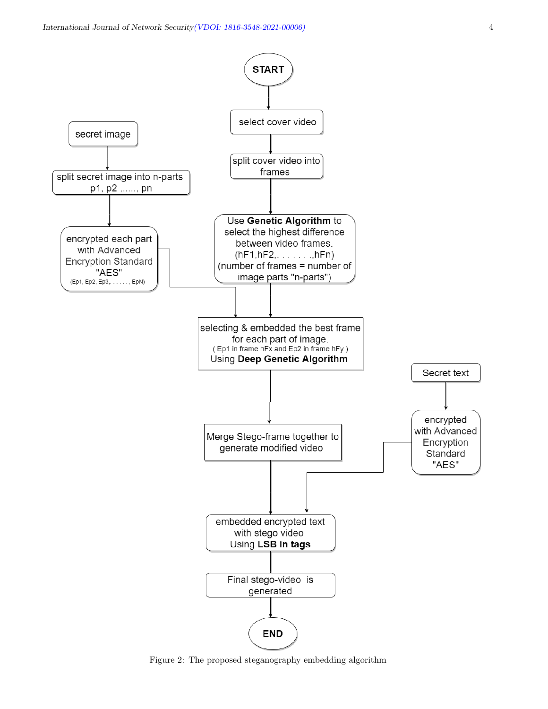

<span id="page-3-0"></span>Figure 2: The proposed steganography embedding algorithm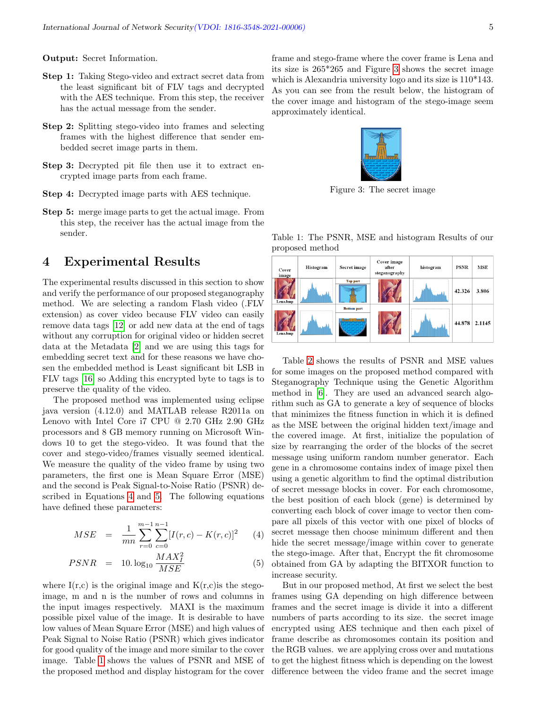Output: Secret Information.

- Step 1: Taking Stego-video and extract secret data from the least significant bit of FLV tags and decrypted with the AES technique. From this step, the receiver has the actual message from the sender.
- Step 2: Splitting stego-video into frames and selecting frames with the highest difference that sender embedded secret image parts in them.
- Step 3: Decrypted pit file then use it to extract encrypted image parts from each frame.
- Step 4: Decrypted image parts with AES technique.
- Step 5: merge image parts to get the actual image. From this step, the receiver has the actual image from the sender.

### 4 Experimental Results

The experimental results discussed in this section to show and verify the performance of our proposed steganography method. We are selecting a random Flash video (.FLV extension) as cover video because FLV video can easily remove data tags [\[12\]](#page-5-4) or add new data at the end of tags without any corruption for original video or hidden secret data at the Metadata [\[2\]](#page-5-11) and we are using this tags for embedding secret text and for these reasons we have chosen the embedded method is Least significant bit LSB in FLV tags [\[16\]](#page-6-0) so Adding this encrypted byte to tags is to preserve the quality of the video.

The proposed method was implemented using eclipse java version (4.12.0) and MATLAB release R2011a on Lenovo with Intel Core i7 CPU @ 2.70 GHz 2.90 GHz processors and 8 GB memory running on Microsoft Windows 10 to get the stego-video. It was found that the cover and stego-video/frames visually seemed identical. We measure the quality of the video frame by using two parameters, the first one is Mean Square Error (MSE) and the second is Peak Signal-to-Noise Ratio (PSNR) described in Equations [4](#page-4-0) and [5.](#page-4-0) The following equations have defined these parameters:

<span id="page-4-0"></span>
$$
MSE = \frac{1}{mn} \sum_{r=0}^{m-1} \sum_{c=0}^{n-1} [I(r, c) - K(r, c)]^2
$$
 (4)

$$
PSNR = 10. \log_{10} \frac{MAX_I^2}{MSE}
$$
 (5)

where  $I(r,c)$  is the original image and  $K(r,c)$  is the stegoimage, m and n is the number of rows and columns in the input images respectively. MAXI is the maximum possible pixel value of the image. It is desirable to have low values of Mean Square Error (MSE) and high values of Peak Signal to Noise Ratio (PSNR) which gives indicator for good quality of the image and more similar to the cover image. Table [1](#page-4-1) shows the values of PSNR and MSE of the proposed method and display histogram for the cover frame and stego-frame where the cover frame is Lena and its size is 265\*265 and Figure [3](#page-4-2) shows the secret image which is Alexandria university logo and its size is 110\*143. As you can see from the result below, the histogram of the cover image and histogram of the stego-image seem approximately identical.

<span id="page-4-2"></span>

Figure 3: The secret image

<span id="page-4-1"></span>Table 1: The PSNR, MSE and histogram Results of our proposed method

| Cover<br>image | Histogram | Secret image       | Cover image<br>after<br>steganography | histogram |        | <b>MSE</b> |
|----------------|-----------|--------------------|---------------------------------------|-----------|--------|------------|
| Lena.bmp       |           | <b>Top part</b>    |                                       |           | 42.326 | 3.806      |
| Lena.bmp       |           | <b>Bottom</b> part |                                       |           | 44.878 | 2.1145     |

Table [2](#page-5-12) shows the results of PSNR and MSE values for some images on the proposed method compared with Steganography Technique using the Genetic Algorithm method in [\[6\]](#page-5-13). They are used an advanced search algorithm such as GA to generate a key of sequence of blocks that minimizes the fitness function in which it is defined as the MSE between the original hidden text/image and the covered image. At first, initialize the population of size by rearranging the order of the blocks of the secret message using uniform random number generator. Each gene in a chromosome contains index of image pixel then using a genetic algorithm to find the optimal distribution of secret message blocks in cover. For each chromosome, the best position of each block (gene) is determined by converting each block of cover image to vector then compare all pixels of this vector with one pixel of blocks of secret message then choose minimum different and then hide the secret message/image within cover to generate the stego-image. After that, Encrypt the fit chromosome obtained from GA by adapting the BITXOR function to increase security.

But in our proposed method, At first we select the best frames using GA depending on high difference between frames and the secret image is divide it into a different numbers of parts according to its size. the secret image encrypted using AES technique and then each pixel of frame describe as chromosomes contain its position and the RGB values. we are applying cross over and mutations to get the highest fitness which is depending on the lowest difference between the video frame and the secret image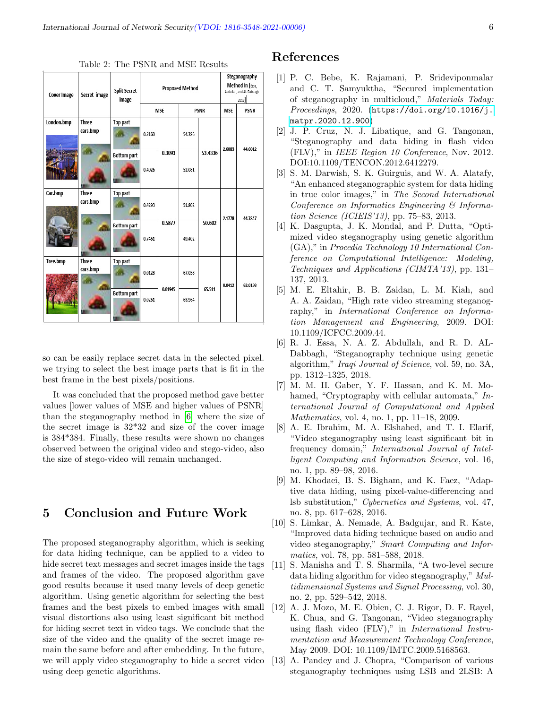| <b>Cover Image</b> | Secret image             | <b>Split Secret</b><br>image | <b>Proposed Method</b> |         |             |         | Steganography<br>Method in [Essa,<br>Abdullah, and AL-Dabbagh<br>2018 |             |
|--------------------|--------------------------|------------------------------|------------------------|---------|-------------|---------|-----------------------------------------------------------------------|-------------|
|                    |                          |                              | <b>MSE</b>             |         | <b>PSNR</b> |         | <b>MSE</b>                                                            | <b>PSNR</b> |
| London.bmp         | <b>Three</b><br>cars.bmp | <b>Top part</b>              | 0.2160                 | 0.3093  | 54,786      | 53.4336 | 2.6083                                                                | 44.0012     |
|                    |                          | <b>Bottom part</b>           | 0.4026                 |         | 52.081      |         |                                                                       |             |
| Car.bmp            | <b>Three</b><br>cars.bmp | <b>Top part</b>              | 0.4293                 | 0.5877  | 51.802      | 50.602  | 2.1778                                                                | 44.7847     |
|                    |                          | <b>Bottom part</b>           | 0.7461                 |         | 49.402      |         |                                                                       |             |
| Tree.bmp           | <b>Three</b><br>cars.bmp | <b>Top part</b>              | 0.0128                 | 0.01945 | 67.058      | 65.511  | 0.0412                                                                | 62.0193     |
|                    |                          | <b>Bottom part</b>           | 0.0261                 |         | 63.964      |         |                                                                       |             |

<span id="page-5-12"></span>Table 2: The PSNR and MSE Results

so can be easily replace secret data in the selected pixel. we trying to select the best image parts that is fit in the best frame in the best pixels/positions.

It was concluded that the proposed method gave better values [lower values of MSE and higher values of PSNR] than the steganography method in [\[6\]](#page-5-13) where the size of the secret image is 32\*32 and size of the cover image is 384\*384. Finally, these results were shown no changes observed between the original video and stego-video, also the size of stego-video will remain unchanged.

### 5 Conclusion and Future Work

The proposed steganography algorithm, which is seeking for data hiding technique, can be applied to a video to hide secret text messages and secret images inside the tags and frames of the video. The proposed algorithm gave good results because it used many levels of deep genetic algorithm. Using genetic algorithm for selecting the best frames and the best pixels to embed images with small visual distortions also using least significant bit method for hiding secret text in video tags. We conclude that the size of the video and the quality of the secret image remain the same before and after embedding. In the future, we will apply video steganography to hide a secret video using deep genetic algorithms.

### References

- <span id="page-5-2"></span>[1] P. C. Bebe, K. Rajamani, P. Srideviponmalar and C. T. Samyuktha, "Secured implementation of steganography in multicloud," Materials Today: Proceedings, 2020. ([https://doi.org/10.1016/j.](https://doi.org/10.1016/j.matpr.2020.12.900) [matpr.2020.12.900](https://doi.org/10.1016/j.matpr.2020.12.900))
- <span id="page-5-11"></span>[2] J. P. Cruz, N. J. Libatique, and G. Tangonan, "Steganography and data hiding in flash video (FLV)," in IEEE Region 10 Conference, Nov. 2012. DOI:10.1109/TENCON.2012.6412279.
- <span id="page-5-1"></span>[3] S. M. Darwish, S. K. Guirguis, and W. A. Alatafy, "An enhanced steganographic system for data hiding in true color images," in The Second International Conference on Informatics Engineering & Information Science (ICIEIS'13), pp. 75–83, 2013.
- <span id="page-5-9"></span>[4] K. Dasgupta, J. K. Mondal, and P. Dutta, "Optimized video steganography using genetic algorithm (GA)," in Procedia Technology 10 International Conference on Computational Intelligence: Modeling, Techniques and Applications (CIMTA'13), pp. 131– 137, 2013.
- <span id="page-5-5"></span>[5] M. E. Eltahir, B. B. Zaidan, L. M. Kiah, and A. A. Zaidan, "High rate video streaming steganography," in International Conference on Information Management and Engineering, 2009. DOI: 10.1109/ICFCC.2009.44.
- <span id="page-5-13"></span>[6] R. J. Essa, N. A. Z. Abdullah, and R. D. AL-Dabbagh, "Steganography technique using genetic algorithm," Iraqi Journal of Science, vol. 59, no. 3A, pp. 1312–1325, 2018.
- <span id="page-5-3"></span>[7] M. M. H. Gaber, Y. F. Hassan, and K. M. Mohamed, "Cryptography with cellular automata," International Journal of Computational and Applied Mathematics, vol. 4, no. 1, pp. 11–18, 2009.
- <span id="page-5-6"></span>[8] A. E. Ibrahim, M. A. Elshahed, and T. I. Elarif, "Video steganography using least significant bit in frequency domain," International Journal of Intelligent Computing and Information Science, vol. 16, no. 1, pp. 89–98, 2016.
- <span id="page-5-10"></span>[9] M. Khodaei, B. S. Bigham, and K. Faez, "Adaptive data hiding, using pixel-value-differencing and lsb substitution," Cybernetics and Systems, vol. 47, no. 8, pp. 617–628, 2016.
- <span id="page-5-8"></span>[10] S. Limkar, A. Nemade, A. Badgujar, and R. Kate, "Improved data hiding technique based on audio and video steganography," Smart Computing and Informatics, vol. 78, pp. 581–588, 2018.
- <span id="page-5-7"></span>[11] S. Manisha and T. S. Sharmila, "A two-level secure data hiding algorithm for video steganography," Multidimensional Systems and Signal Processing, vol. 30, no. 2, pp. 529–542, 2018.
- <span id="page-5-4"></span>[12] A. J. Mozo, M. E. Obien, C. J. Rigor, D. F. Rayel, K. Chua, and G. Tangonan, "Video steganography using flash video (FLV)," in International Instrumentation and Measurement Technology Conference, May 2009. DOI: 10.1109/IMTC.2009.5168563.
- <span id="page-5-0"></span>[13] A. Pandey and J. Chopra, "Comparison of various steganography techniques using LSB and 2LSB: A